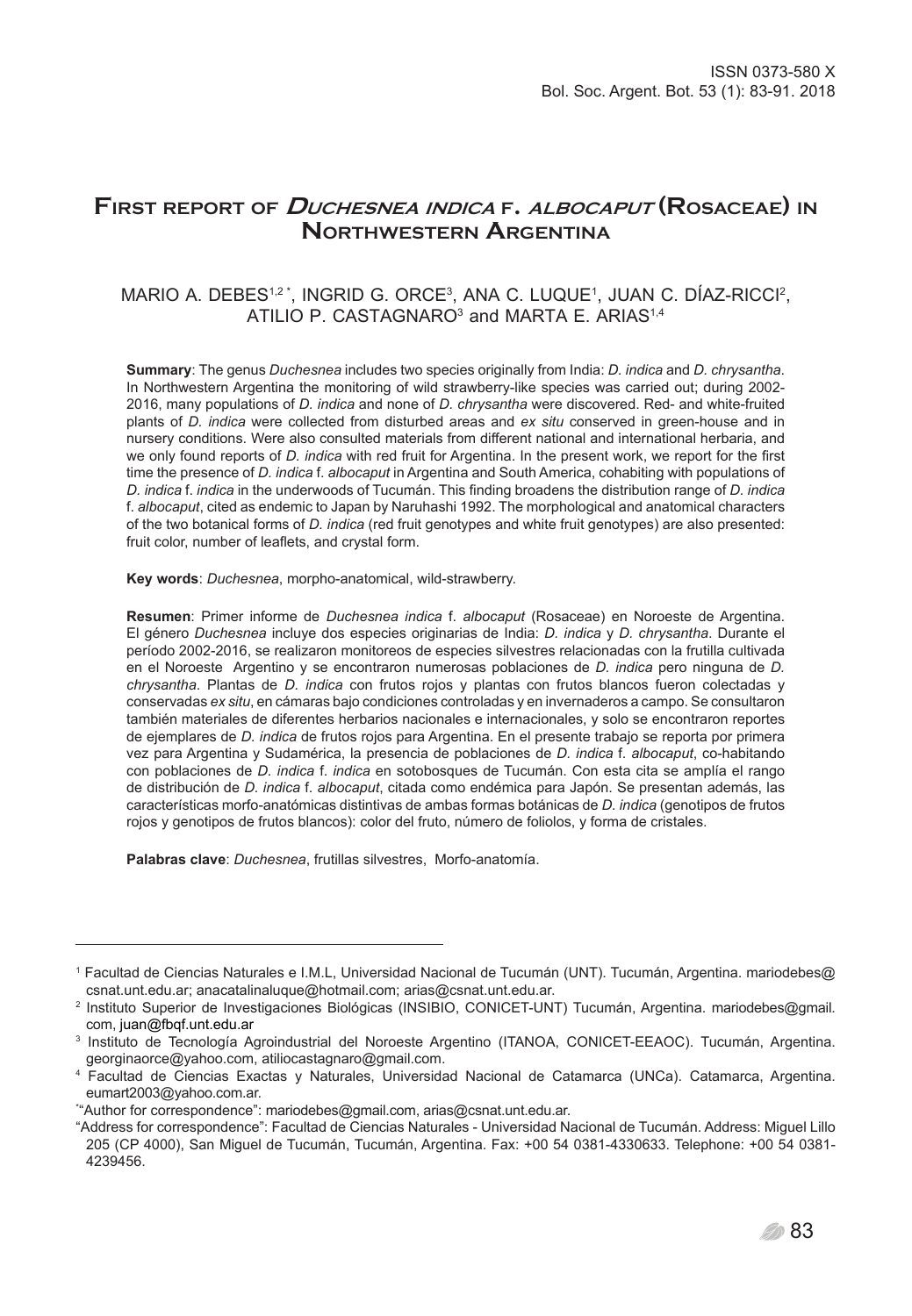# **First report of <sup>D</sup>uchesnea indica f. albocaput (Rosaceae) in Northwestern Argentina**

### MARIO A. DEBES<sup>1,2\*</sup>, INGRID G. ORCE<sup>3</sup>, ANA C. LUQUE<sup>1</sup>, JUAN C. DIAZ-RICCI<sup>2</sup>, ATILIO P. CASTAGNARO $3$  and MARTA E. ARIAS $1.4$

**Summary**: The genus *Duchesnea* includes two species originally from India: *D. indica* and *D. chrysantha*. In Northwestern Argentina the monitoring of wild strawberry-like species was carried out; during 2002- 2016, many populations of *D. indica* and none of *D. chrysantha* were discovered. Red- and white-fruited plants of *D. indica* were collected from disturbed areas and *ex situ* conserved in green-house and in nursery conditions. Were also consulted materials from different national and international herbaria, and we only found reports of *D. indica* with red fruit for Argentina. In the present work, we report for the first time the presence of *D. indica* f. *albocaput* in Argentina and South America, cohabiting with populations of *D. indica* f. *indica* in the underwoods of Tucumán. This finding broadens the distribution range of *D. indica* f. *albocaput*, cited as endemic to Japan by Naruhashi 1992. The morphological and anatomical characters of the two botanical forms of *D. indica* (red fruit genotypes and white fruit genotypes) are also presented: fruit color, number of leaflets, and crystal form.

**Key words**: *Duchesnea*, morpho-anatomical, wild-strawberry.

**Resumen**: Primer informe de *Duchesnea indica* f. *albocaput* (Rosaceae) en Noroeste de Argentina. El género *Duchesnea* incluye dos especies originarias de India: *D. indica* y *D. chrysantha*. Durante el período 2002-2016, se realizaron monitoreos de especies silvestres relacionadas con la frutilla cultivada en el Noroeste Argentino y se encontraron numerosas poblaciones de *D. indica* pero ninguna de *D. chrysantha*. Plantas de *D. indica* con frutos rojos y plantas con frutos blancos fueron colectadas y conservadas *ex situ*, en cámaras bajo condiciones controladas y en invernaderos a campo. Se consultaron también materiales de diferentes herbarios nacionales e internacionales, y solo se encontraron reportes de ejemplares de *D. indica* de frutos rojos para Argentina. En el presente trabajo se reporta por primera vez para Argentina y Sudamérica, la presencia de poblaciones de *D. indica* f. *albocaput*, co-habitando con poblaciones de *D. indica* f. *indica* en sotobosques de Tucumán. Con esta cita se amplía el rango de distribución de *D. indica* f. *albocaput*, citada como endémica para Japón. Se presentan además, las características morfo-anatómicas distintivas de ambas formas botánicas de *D. indica* (genotipos de frutos rojos y genotipos de frutos blancos): color del fruto, número de foliolos, y forma de cristales.

**Palabras clave**: *Duchesnea*, frutillas silvestres, Morfo-anatomía.

<sup>1</sup> Facultad de Ciencias Naturales e I.M.L, Universidad Nacional de Tucumán (UNT). Tucumán, Argentina. mariodebes@ csnat.unt.edu.ar; anacatalinaluque@hotmail.com; arias@csnat.unt.edu.ar.

<sup>2</sup> Instituto Superior de Investigaciones Biológicas (INSIBIO, CONICET-UNT) Tucumán, Argentina. mariodebes@gmail. com, juan@fbqf.unt.edu.ar

<sup>3</sup> Instituto de Tecnología Agroindustrial del Noroeste Argentino (ITANOA, CONICET-EEAOC). Tucumán, Argentina. georginaorce@yahoo.com, atiliocastagnaro@gmail.com.

<sup>4</sup> Facultad de Ciencias Exactas y Naturales, Universidad Nacional de Catamarca (UNCa). Catamarca, Argentina. eumart2003@yahoo.com.ar.

<sup>\*</sup> "Author for correspondence": mariodebes@gmail.com, arias@csnat.unt.edu.ar.

<sup>&</sup>quot;Address for correspondence": Facultad de Ciencias Naturales - Universidad Nacional de Tucumán. Address: Miguel Lillo 205 (CP 4000), San Miguel de Tucumán, Tucumán, Argentina. Fax: +00 54 0381-4330633. Telephone: +00 54 0381- 4239456.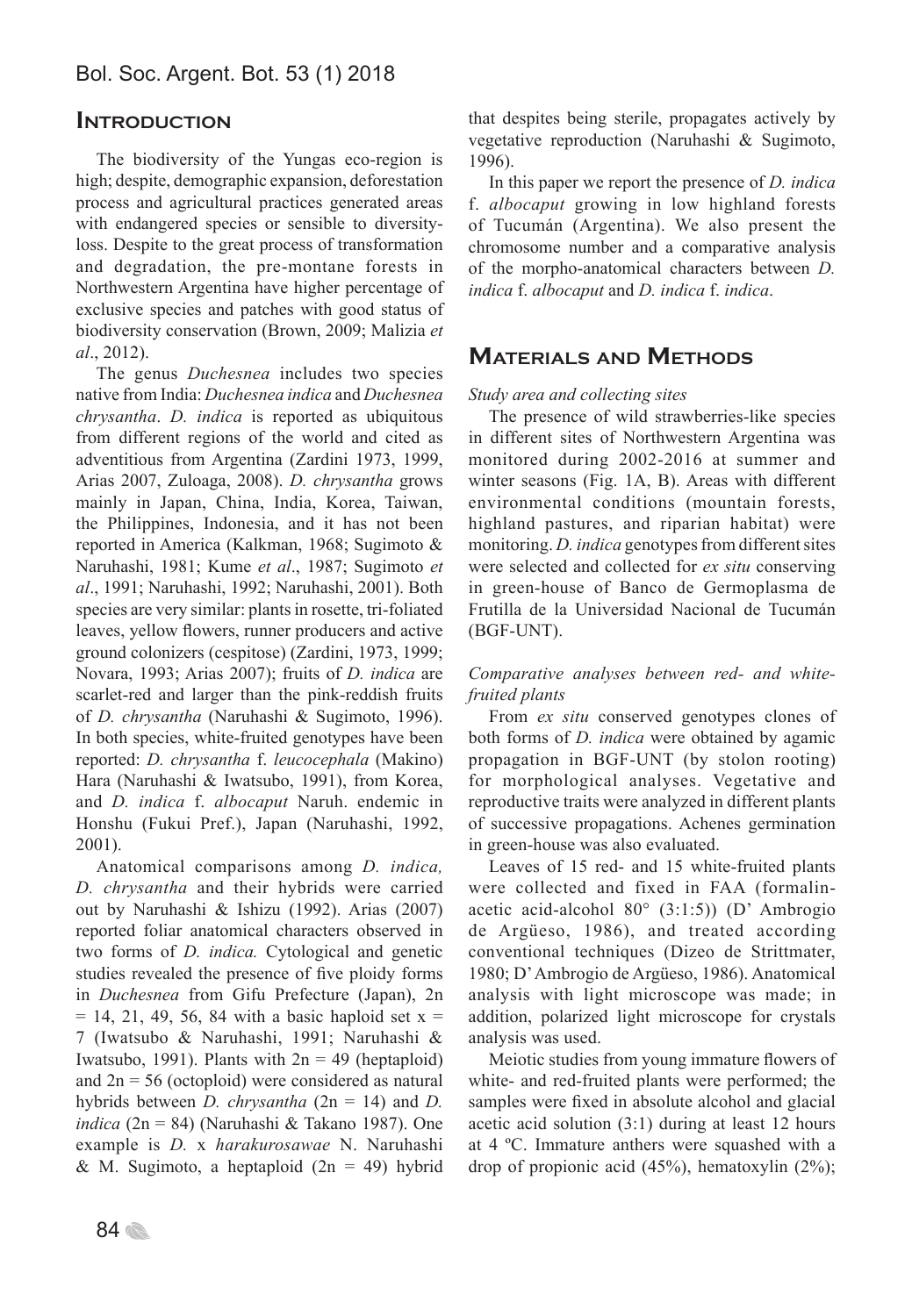## **Introduction**

The biodiversity of the Yungas eco-region is high; despite, demographic expansion, deforestation process and agricultural practices generated areas with endangered species or sensible to diversityloss. Despite to the great process of transformation and degradation, the pre-montane forests in Northwestern Argentina have higher percentage of exclusive species and patches with good status of biodiversity conservation (Brown, 2009; Malizia *et al*., 2012).

The genus *Duchesnea* includes two species native from India: *Duchesnea indica* and *Duchesnea chrysantha*. *D. indica* is reported as ubiquitous from different regions of the world and cited as adventitious from Argentina (Zardini 1973, 1999, Arias 2007, Zuloaga, 2008). *D. chrysantha* grows mainly in Japan, China, India, Korea, Taiwan, the Philippines, Indonesia, and it has not been reported in America (Kalkman, 1968; Sugimoto & Naruhashi, 1981; Kume *et al*., 1987; Sugimoto *et al*., 1991; Naruhashi, 1992; Naruhashi, 2001). Both species are very similar: plants in rosette, tri-foliated leaves, yellow flowers, runner producers and active ground colonizers (cespitose) (Zardini, 1973, 1999; Novara, 1993; Arias 2007); fruits of *D. indica* are scarlet-red and larger than the pink-reddish fruits of *D. chrysantha* (Naruhashi & Sugimoto, 1996). In both species, white-fruited genotypes have been reported: *D. chrysantha* f. *leucocephala* (Makino) Hara (Naruhashi & Iwatsubo, 1991), from Korea, and *D. indica* f. *albocaput* Naruh. endemic in Honshu (Fukui Pref.), Japan (Naruhashi, 1992, 2001).

Anatomical comparisons among *D. indica, D. chrysantha* and their hybrids were carried out by Naruhashi & Ishizu (1992). Arias (2007) reported foliar anatomical characters observed in two forms of *D. indica.* Cytological and genetic studies revealed the presence of five ploidy forms in *Duchesnea* from Gifu Prefecture (Japan), 2n  $= 14, 21, 49, 56, 84$  with a basic haploid set  $x =$ 7 (Iwatsubo & Naruhashi, 1991; Naruhashi & Iwatsubo, 1991). Plants with  $2n = 49$  (heptaploid) and  $2n = 56$  (octoploid) were considered as natural hybrids between *D. chrysantha* (2n = 14) and *D. indica* (2n = 84) (Naruhashi & Takano 1987). One example is *D.* x *harakurosawae* N. Naruhashi & M. Sugimoto, a heptaploid  $(2n = 49)$  hybrid that despites being sterile, propagates actively by vegetative reproduction (Naruhashi & Sugimoto, 1996).

In this paper we report the presence of *D. indica* f. *albocaput* growing in low highland forests of Tucumán (Argentina). We also present the chromosome number and a comparative analysis of the morpho-anatomical characters between *D. indica* f. *albocaput* and *D. indica* f. *indica*.

# **Materials and Methods**

### *Study area and collecting sites*

The presence of wild strawberries-like species in different sites of Northwestern Argentina was monitored during 2002-2016 at summer and winter seasons (Fig. 1A, B). Areas with different environmental conditions (mountain forests, highland pastures, and riparian habitat) were monitoring. *D. indica* genotypes from different sites were selected and collected for *ex situ* conserving in green-house of Banco de Germoplasma de Frutilla de la Universidad Nacional de Tucumán (BGF-UNT).

## *Comparative analyses between red- and whitefruited plants*

From *ex situ* conserved genotypes clones of both forms of *D. indica* were obtained by agamic propagation in BGF-UNT (by stolon rooting) for morphological analyses. Vegetative and reproductive traits were analyzed in different plants of successive propagations. Achenes germination in green-house was also evaluated.

Leaves of 15 red- and 15 white-fruited plants were collected and fixed in FAA (formalinacetic acid-alcohol 80° (3:1:5)) (D' Ambrogio de Argüeso, 1986), and treated according conventional techniques (Dizeo de Strittmater, 1980; D' Ambrogio de Argüeso, 1986). Anatomical analysis with light microscope was made; in addition, polarized light microscope for crystals analysis was used.

Meiotic studies from young immature flowers of white- and red-fruited plants were performed; the samples were fixed in absolute alcohol and glacial acetic acid solution (3:1) during at least 12 hours at 4 ºC. Immature anthers were squashed with a drop of propionic acid (45%), hematoxylin (2%);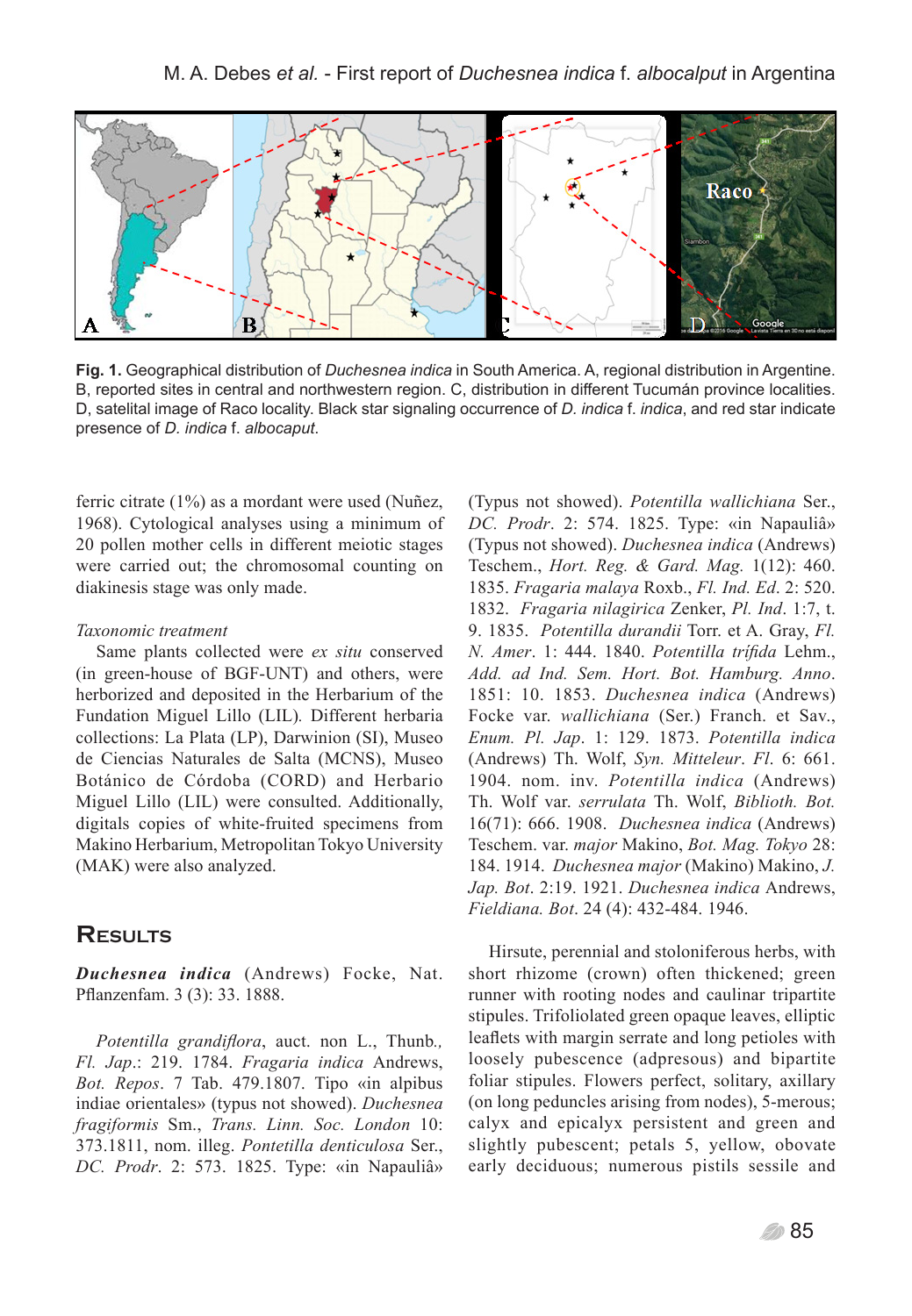

**Fig. 1.** Geographical distribution of *Duchesnea indica* in South America. A, regional distribution in Argentine. B, reported sites in central and northwestern region. C, distribution in different Tucumán province localities. D, satelital image of Raco locality. Black star signaling occurrence of *D. indica* f. *indica*, and red star indicate presence of *D. indica* f. *albocaput*.

ferric citrate (1%) as a mordant were used (Nuñez, 1968). Cytological analyses using a minimum of 20 pollen mother cells in different meiotic stages were carried out; the chromosomal counting on diakinesis stage was only made.

#### *Taxonomic treatment*

Same plants collected were *ex situ* conserved (in green-house of BGF-UNT) and others, were herborized and deposited in the Herbarium of the Fundation Miguel Lillo (LIL)*.* Different herbaria collections: La Plata (LP), Darwinion (SI), Museo de Ciencias Naturales de Salta (MCNS), Museo Botánico de Córdoba (CORD) and Herbario Miguel Lillo (LIL) were consulted. Additionally, digitals copies of white-fruited specimens from Makino Herbarium, Metropolitan Tokyo University (MAK) were also analyzed.

## **Results**

*Duchesnea indica* (Andrews) Focke, Nat. Pflanzenfam. 3 (3): 33. 1888.

*Potentilla grandiflora*, auct. non L., Thunb*., Fl. Jap*.: 219. 1784. *Fragaria indica* Andrews, *Bot. Repos*. 7 Tab. 479.1807. Tipo «in alpibus indiae orientales» (typus not showed). *Duchesnea fragiformis* Sm., *Trans. Linn. Soc. London* 10: 373.1811, nom. illeg. *Pontetilla denticulosa* Ser., *DC. Prodr*. 2: 573. 1825. Type: «in Napauliâ» (Typus not showed). *Potentilla wallichiana* Ser., *DC. Prodr*. 2: 574. 1825. Type: «in Napauliâ» (Typus not showed). *Duchesnea indica* (Andrews) Teschem., *Hort. Reg. & Gard. Mag.* 1(12): 460. 1835. *Fragaria malaya* Roxb., *Fl. Ind. Ed*. 2: 520. 1832. *Fragaria nilagirica* Zenker, *Pl. Ind*. 1:7, t. 9. 1835. *Potentilla durandii* Torr. et A. Gray, *Fl. N. Amer*. 1: 444. 1840. *Potentilla trífida* Lehm., *Add. ad Ind. Sem. Hort. Bot. Hamburg. Anno*. 1851: 10. 1853. *Duchesnea indica* (Andrews) Focke var. *wallichiana* (Ser.) Franch. et Sav., *Enum. Pl. Jap*. 1: 129. 1873. *Potentilla indica*  (Andrews) Th. Wolf, *Syn. Mitteleur*. *Fl*. 6: 661. 1904. nom. inv. *Potentilla indica* (Andrews) Th. Wolf var. *serrulata* Th. Wolf, *Biblioth. Bot.* 16(71): 666. 1908. *Duchesnea indica* (Andrews) Teschem. var. *major* Makino, *Bot. Mag. Tokyo* 28: 184. 1914. *Duchesnea major* (Makino) Makino, *J. Jap. Bot*. 2:19. 1921. *Duchesnea indica* Andrews, *Fieldiana. Bot*. 24 (4): 432-484. 1946.

Hirsute, perennial and stoloniferous herbs, with short rhizome (crown) often thickened; green runner with rooting nodes and caulinar tripartite stipules. Trifoliolated green opaque leaves, elliptic leaflets with margin serrate and long petioles with loosely pubescence (adpresous) and bipartite foliar stipules. Flowers perfect, solitary, axillary (on long peduncles arising from nodes), 5-merous; calyx and epicalyx persistent and green and slightly pubescent; petals 5, yellow, obovate early deciduous; numerous pistils sessile and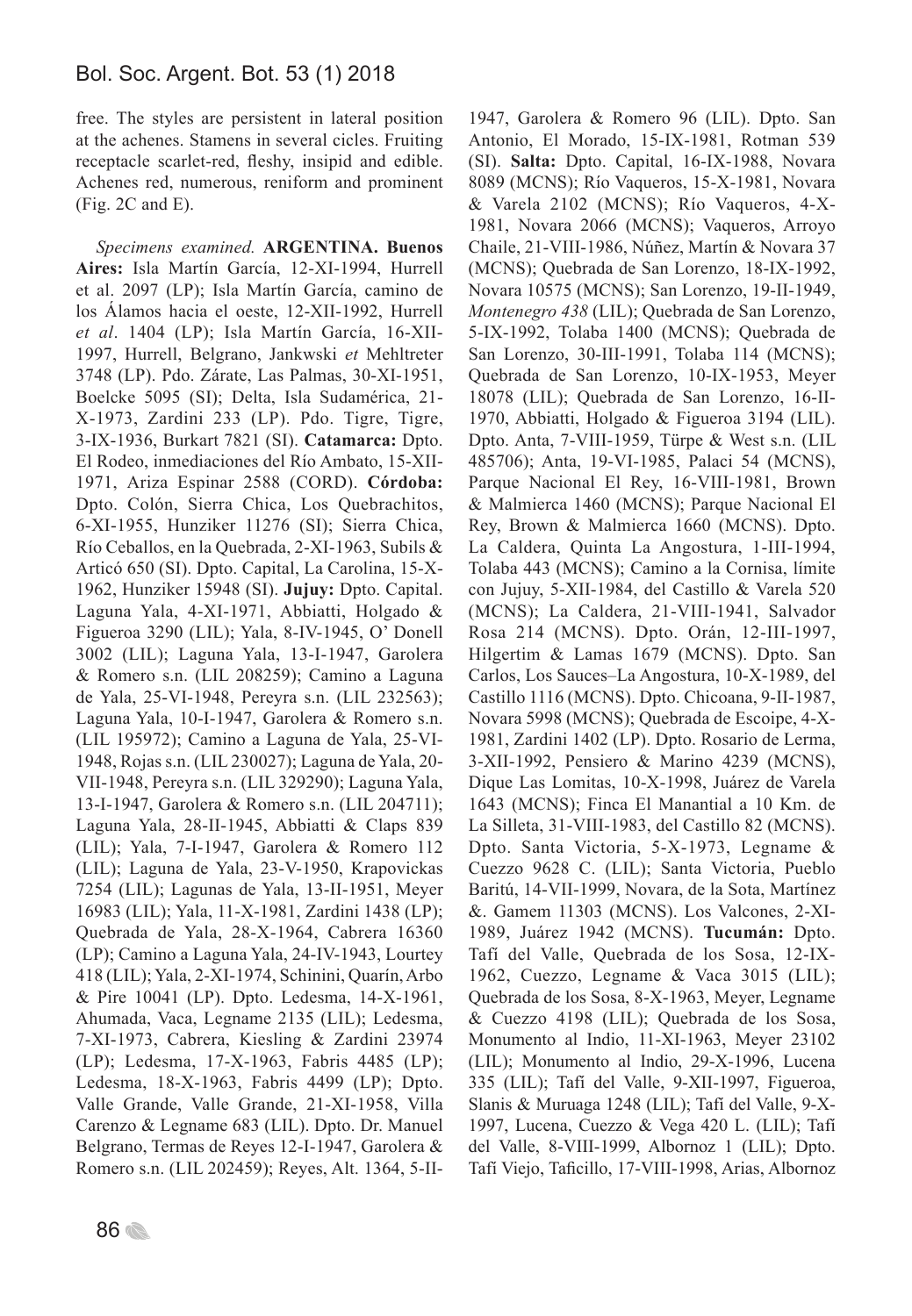free. The styles are persistent in lateral position at the achenes. Stamens in several cicles. Fruiting receptacle scarlet-red, fleshy, insipid and edible. Achenes red, numerous, reniform and prominent  $(Fig. 2C and E).$ 

*Specimens examined.* **ARGENTINA. Buenos Aires:** Isla Martín García, 12-XI-1994, Hurrell et al. 2097 (LP); Isla Martín García, camino de los Álamos hacia el oeste, 12-XII-1992, Hurrell *et al*. 1404 (LP); Isla Martín García, 16-XII-1997, Hurrell, Belgrano, Jankwski *et* Mehltreter 3748 (LP). Pdo. Zárate, Las Palmas, 30-XI-1951, Boelcke 5095 (SI); Delta, Isla Sudamérica, 21- X-1973, Zardini 233 (LP). Pdo. Tigre, Tigre, 3-IX-1936, Burkart 7821 (SI). **Catamarca:** Dpto. El Rodeo, inmediaciones del Río Ambato, 15-XII-1971, Ariza Espinar 2588 (CORD). **Córdoba:** Dpto. Colón, Sierra Chica, Los Quebrachitos, 6-XI-1955, Hunziker 11276 (SI); Sierra Chica, Río Ceballos, en la Quebrada, 2-XI-1963, Subils & Articó 650 (SI). Dpto. Capital, La Carolina, 15-X-1962, Hunziker 15948 (SI). **Jujuy:** Dpto. Capital. Laguna Yala, 4-XI-1971, Abbiatti, Holgado & Figueroa 3290 (LIL); Yala, 8-IV-1945, O' Donell 3002 (LIL); Laguna Yala, 13-I-1947, Garolera & Romero s.n. (LIL 208259); Camino a Laguna de Yala, 25-VI-1948, Pereyra s.n. (LIL 232563); Laguna Yala, 10-I-1947, Garolera & Romero s.n. (LIL 195972); Camino a Laguna de Yala, 25-VI-1948, Rojas s.n. (LIL 230027); Laguna de Yala, 20- VII-1948, Pereyra s.n. (LIL 329290); Laguna Yala, 13-I-1947, Garolera & Romero s.n. (LIL 204711); Laguna Yala, 28-II-1945, Abbiatti & Claps 839 (LIL); Yala, 7-I-1947, Garolera & Romero 112 (LIL); Laguna de Yala, 23-V-1950, Krapovickas 7254 (LIL); Lagunas de Yala, 13-II-1951, Meyer 16983 (LIL); Yala, 11-X-1981, Zardini 1438 (LP); Quebrada de Yala, 28-X-1964, Cabrera 16360 (LP); Camino a Laguna Yala, 24-IV-1943, Lourtey 418 (LIL); Yala, 2-XI-1974, Schinini, Quarín, Arbo & Pire 10041 (LP). Dpto. Ledesma, 14-X-1961, Ahumada, Vaca, Legname 2135 (LIL); Ledesma, 7-XI-1973, Cabrera, Kiesling & Zardini 23974 (LP); Ledesma, 17-X-1963, Fabris 4485 (LP); Ledesma, 18-X-1963, Fabris 4499 (LP); Dpto. Valle Grande, Valle Grande, 21-XI-1958, Villa Carenzo & Legname 683 (LIL). Dpto. Dr. Manuel Belgrano, Termas de Reyes 12-I-1947, Garolera & Romero s.n. (LIL 202459); Reyes, Alt. 1364, 5-II-

1947, Garolera & Romero 96 (LIL). Dpto. San Antonio, El Morado, 15-IX-1981, Rotman 539 (SI). **Salta:** Dpto. Capital, 16-IX-1988, Novara 8089 (MCNS); Río Vaqueros, 15-X-1981, Novara & Varela 2102 (MCNS); Río Vaqueros, 4-X-1981, Novara 2066 (MCNS); Vaqueros, Arroyo Chaile, 21-VIII-1986, Núñez, Martín & Novara 37 (MCNS); Quebrada de San Lorenzo, 18-IX-1992, Novara 10575 (MCNS); San Lorenzo, 19-II-1949, *Montenegro 438* (LIL); Quebrada de San Lorenzo, 5-IX-1992, Tolaba 1400 (MCNS); Quebrada de San Lorenzo, 30-III-1991, Tolaba 114 (MCNS); Quebrada de San Lorenzo, 10-IX-1953, Meyer 18078 (LIL); Quebrada de San Lorenzo, 16-II-1970, Abbiatti, Holgado & Figueroa 3194 (LIL). Dpto. Anta, 7-VIII-1959, Türpe & West s.n. (LIL 485706); Anta, 19-VI-1985, Palaci 54 (MCNS), Parque Nacional El Rey, 16-VIII-1981, Brown & Malmierca 1460 (MCNS); Parque Nacional El Rey, Brown & Malmierca 1660 (MCNS). Dpto. La Caldera, Quinta La Angostura, 1-III-1994, Tolaba 443 (MCNS); Camino a la Cornisa, límite con Jujuy, 5-XII-1984, del Castillo & Varela 520 (MCNS); La Caldera, 21-VIII-1941, Salvador Rosa 214 (MCNS). Dpto. Orán, 12-III-1997, Hilgertim & Lamas 1679 (MCNS). Dpto. San Carlos, Los Sauces–La Angostura, 10-X-1989, del Castillo 1116 (MCNS). Dpto. Chicoana, 9-II-1987, Novara 5998 (MCNS); Quebrada de Escoipe, 4-X-1981, Zardini 1402 (LP). Dpto. Rosario de Lerma, 3-XII-1992, Pensiero & Marino 4239 (MCNS), Dique Las Lomitas, 10-X-1998, Juárez de Varela 1643 (MCNS); Finca El Manantial a 10 Km. de La Silleta, 31-VIII-1983, del Castillo 82 (MCNS). Dpto. Santa Victoria, 5-X-1973, Legname & Cuezzo 9628 C. (LIL); Santa Victoria, Pueblo Baritú, 14-VII-1999, Novara, de la Sota, Martínez &. Gamem 11303 (MCNS). Los Valcones, 2-XI-1989, Juárez 1942 (MCNS). **Tucumán:** Dpto. Tafí del Valle, Quebrada de los Sosa, 12-IX-1962, Cuezzo, Legname & Vaca 3015 (LIL); Quebrada de los Sosa, 8-X-1963, Meyer, Legname & Cuezzo 4198 (LIL); Quebrada de los Sosa, Monumento al Indio, 11-XI-1963, Meyer 23102 (LIL); Monumento al Indio, 29-X-1996, Lucena 335 (LIL); Tafí del Valle, 9-XII-1997, Figueroa, Slanis & Muruaga 1248 (LIL); Tafí del Valle, 9-X-1997, Lucena, Cuezzo & Vega 420 L. (LIL); Tafí del Valle, 8-VIII-1999, Albornoz 1 (LIL); Dpto. Tafí Viejo, Taficillo, 17-VIII-1998, Arias, Albornoz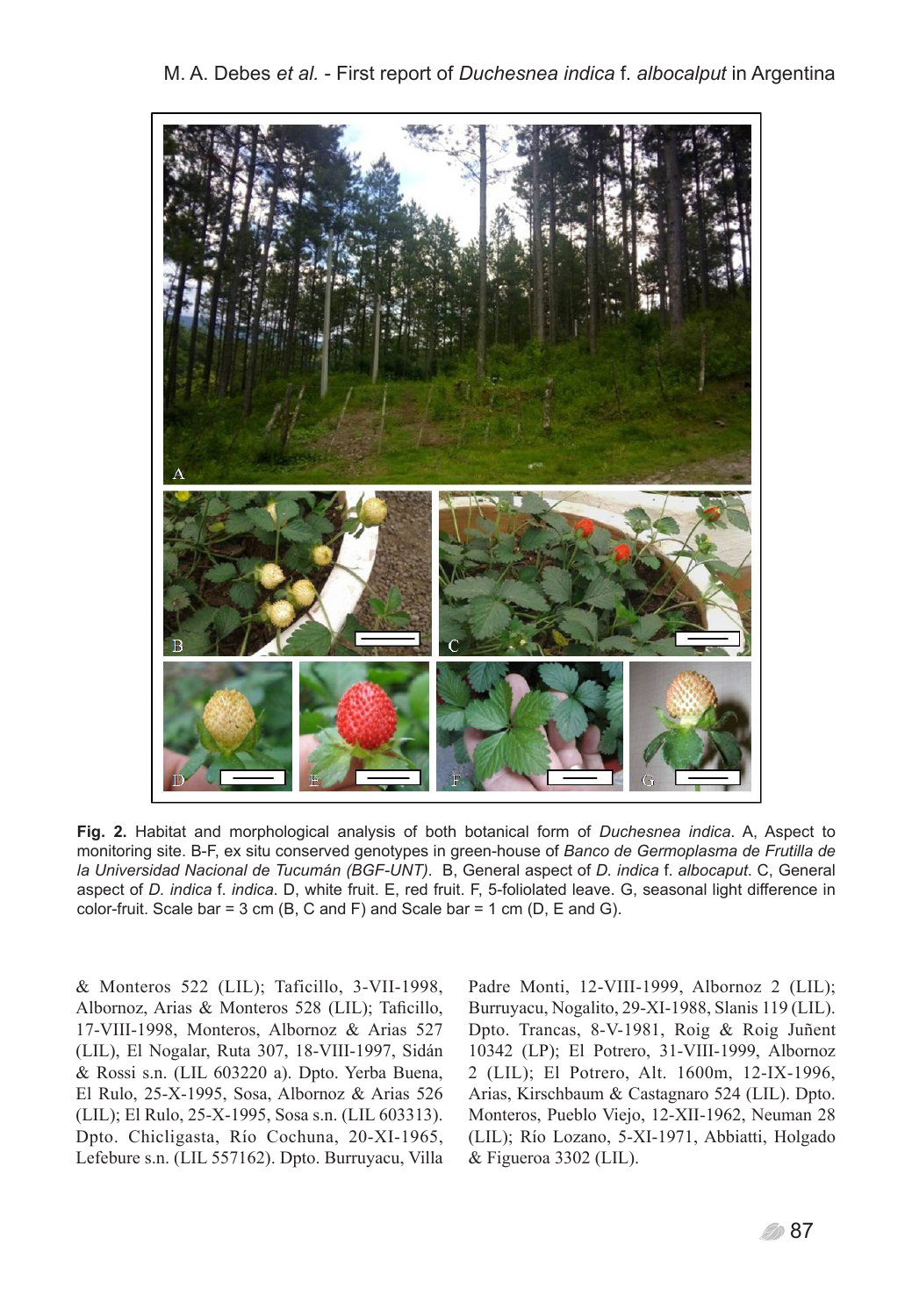

**Fig. 2.** Habitat and morphological analysis of both botanical form of *Duchesnea indica*. A, Aspect to monitoring site. B-F, ex situ conserved genotypes in green-house of *Banco de Germoplasma de Frutilla de la Universidad Nacional de Tucumán (BGF-UNT)*. B, General aspect of *D. indica* f. *albocaput*. C, General aspect of *D. indica* f. *indica*. D, white fruit. E, red fruit. F, 5-foliolated leave. G, seasonal light difference in color-fruit. Scale bar =  $3$  cm (B, C and F) and Scale bar =  $1$  cm (D, E and G).

& Monteros 522 (LIL); Taficillo, 3-VII-1998, Albornoz, Arias & Monteros 528 (LIL); Taficillo, 17-VIII-1998, Monteros, Albornoz & Arias 527 (LIL), El Nogalar, Ruta 307, 18-VIII-1997, Sidán & Rossi s.n. (LIL 603220 a). Dpto. Yerba Buena, El Rulo, 25-X-1995, Sosa, Albornoz & Arias 526 (LIL); El Rulo, 25-X-1995, Sosa s.n. (LIL 603313). Dpto. Chicligasta, Río Cochuna, 20-XI-1965, Lefebure s.n. (LIL 557162). Dpto. Burruyacu, Villa Padre Monti, 12-VIII-1999, Albornoz 2 (LIL); Burruyacu, Nogalito, 29-XI-1988, Slanis 119 (LIL). Dpto. Trancas, 8-V-1981, Roig & Roig Juñent 10342 (LP); El Potrero, 31-VIII-1999, Albornoz 2 (LIL); El Potrero, Alt. 1600m, 12-IX-1996, Arias, Kirschbaum & Castagnaro 524 (LIL). Dpto. Monteros, Pueblo Viejo, 12-XII-1962, Neuman 28 (LIL); Río Lozano, 5-XI-1971, Abbiatti, Holgado & Figueroa 3302 (LIL).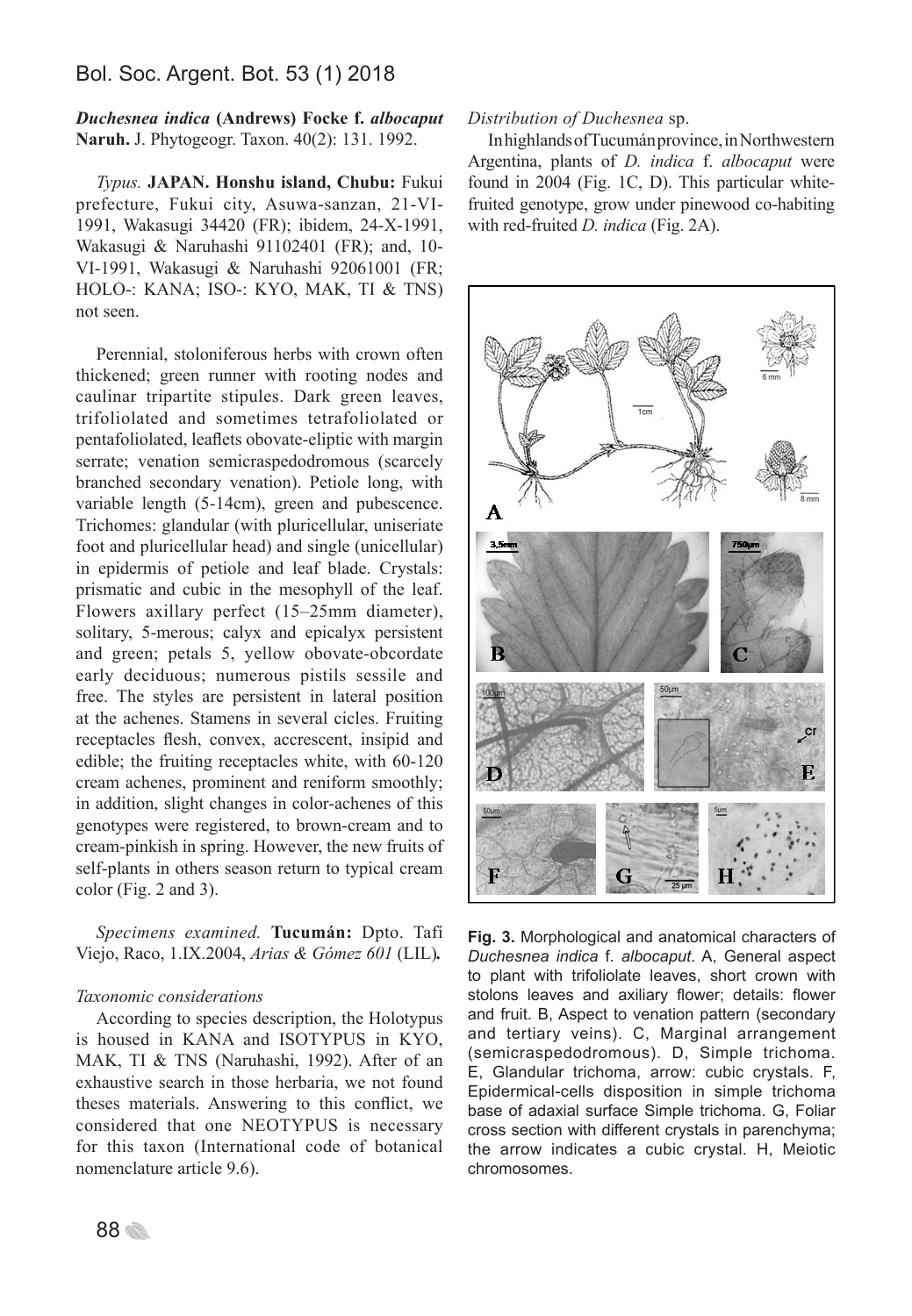*Duchesnea indica* **(Andrews) Focke f.** *albocaput* **Naruh.** J. Phytogeogr. Taxon. 40(2): 131. 1992.

*Typus.* **JAPAN. Honshu island, Chubu:** Fukui prefecture, Fukui city, Asuwa-sanzan, 21-VI-1991, Wakasugi 34420 (FR); ibidem, 24-X-1991, Wakasugi & Naruhashi 91102401 (FR); and, 10- VI-1991, Wakasugi & Naruhashi 92061001 (FR; HOLO-: KANA; ISO-: KYO, MAK, TI & TNS) not seen.

Perennial, stoloniferous herbs with crown often thickened; green runner with rooting nodes and caulinar tripartite stipules. Dark green leaves, trifoliolated and sometimes tetrafoliolated or pentafoliolated, leaflets obovate-eliptic with margin serrate; venation semicraspedodromous (scarcely branched secondary venation). Petiole long, with variable length (5-14cm), green and pubescence. Trichomes: glandular (with pluricellular, uniseriate foot and pluricellular head) and single (unicellular) in epidermis of petiole and leaf blade. Crystals: prismatic and cubic in the mesophyll of the leaf. Flowers axillary perfect (15–25mm diameter), solitary, 5-merous; calyx and epicalyx persistent and green; petals 5, yellow obovate-obcordate early deciduous; numerous pistils sessile and free. The styles are persistent in lateral position at the achenes. Stamens in several cicles. Fruiting receptacles flesh, convex, accrescent, insipid and edible; the fruiting receptacles white, with 60-120 cream achenes, prominent and reniform smoothly; in addition, slight changes in color-achenes of this genotypes were registered, to brown-cream and to cream-pinkish in spring. However, the new fruits of self-plants in others season return to typical cream color (Fig. 2 and 3).

*Specimens examined.* **Tucumán:** Dpto. Tafí Viejo, Raco, 1.IX.2004, *Arias & Gómez 601* (LIL)*.*

#### *Taxonomic considerations*

According to species description, the Holotypus is housed in KANA and ISOTYPUS in KYO, MAK, TI & TNS (Naruhashi, 1992). After of an exhaustive search in those herbaria, we not found theses materials. Answering to this conflict, we considered that one NEOTYPUS is necessary for this taxon (International code of botanical nomenclature article 9.6).

#### *Distribution of Duchesnea* sp.

In highlands of Tucumán province, in Northwestern Argentina, plants of *D. indica* f. *albocaput* were found in 2004 (Fig. 1C, D). This particular whitefruited genotype, grow under pinewood co-habiting with red-fruited *D. indica* (Fig. 2A).



**Fig. 3.** Morphological and anatomical characters of *Duchesnea indica* f. *albocaput*. A, General aspect to plant with trifoliolate leaves, short crown with stolons leaves and axiliary flower; details: flower and fruit. B, Aspect to venation pattern (secondary and tertiary veins). C, Marginal arrangement (semicraspedodromous). D, Simple trichoma. E, Glandular trichoma, arrow: cubic crystals. F, Epidermical-cells disposition in simple trichoma base of adaxial surface Simple trichoma. G, Foliar cross section with different crystals in parenchyma; the arrow indicates a cubic crystal. H, Meiotic chromosomes.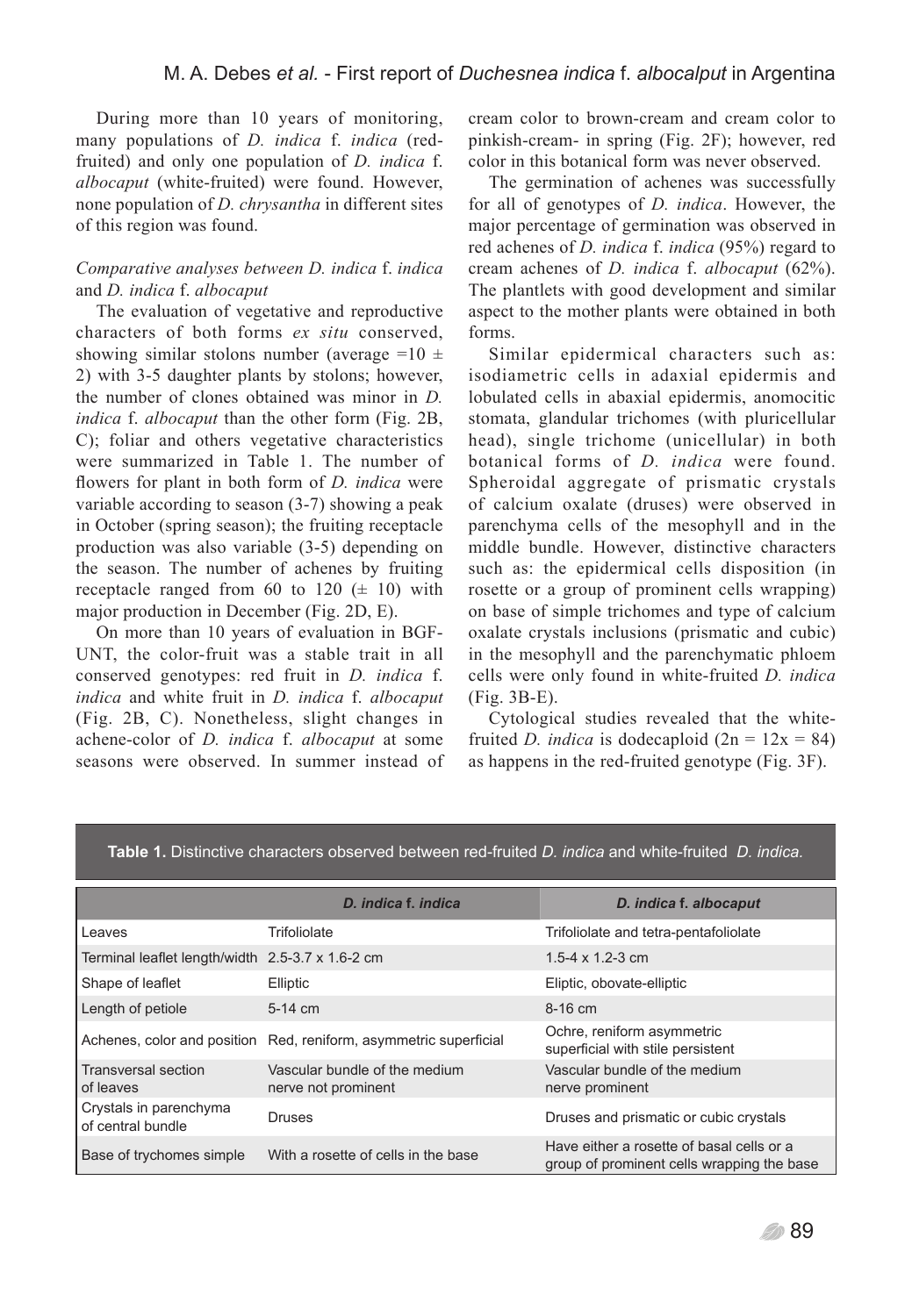During more than 10 years of monitoring, many populations of *D. indica* f. *indica* (redfruited) and only one population of *D. indica* f. *albocaput* (white-fruited) were found. However, none population of *D. chrysantha* in different sites of this region was found.

### *Comparative analyses between D. indica* f. *indica* and *D. indica* f. *albocaput*

The evaluation of vegetative and reproductive characters of both forms *ex situ* conserved, showing similar stolons number (average =10  $\pm$ 2) with 3-5 daughter plants by stolons; however, the number of clones obtained was minor in *D. indica* f. *albocaput* than the other form (Fig. 2B, C); foliar and others vegetative characteristics were summarized in Table 1. The number of flowers for plant in both form of *D. indica* were variable according to season (3-7) showing a peak in October (spring season); the fruiting receptacle production was also variable (3-5) depending on the season. The number of achenes by fruiting receptacle ranged from 60 to 120  $(\pm 10)$  with major production in December (Fig. 2D, E).

On more than 10 years of evaluation in BGF-UNT, the color-fruit was a stable trait in all conserved genotypes: red fruit in *D. indica* f. *indica* and white fruit in *D. indica* f. *albocaput* (Fig. 2B, C). Nonetheless, slight changes in achene-color of *D. indica* f. *albocaput* at some seasons were observed. In summer instead of cream color to brown-cream and cream color to pinkish-cream- in spring (Fig. 2F); however, red color in this botanical form was never observed.

The germination of achenes was successfully for all of genotypes of *D. indica*. However, the major percentage of germination was observed in red achenes of *D. indica* f. *indica* (95%) regard to cream achenes of *D. indica* f. *albocaput* (62%). The plantlets with good development and similar aspect to the mother plants were obtained in both forms.

Similar epidermical characters such as: isodiametric cells in adaxial epidermis and lobulated cells in abaxial epidermis, anomocitic stomata, glandular trichomes (with pluricellular head), single trichome (unicellular) in both botanical forms of *D. indica* were found. Spheroidal aggregate of prismatic crystals of calcium oxalate (druses) were observed in parenchyma cells of the mesophyll and in the middle bundle. However, distinctive characters such as: the epidermical cells disposition (in rosette or a group of prominent cells wrapping) on base of simple trichomes and type of calcium oxalate crystals inclusions (prismatic and cubic) in the mesophyll and the parenchymatic phloem cells were only found in white-fruited *D. indica* (Fig. 3B-E).

Cytological studies revealed that the whitefruited *D. indica* is dodecaploid  $(2n = 12x = 84)$ as happens in the red-fruited genotype (Fig. 3F).

|                                                  | D. indica f. indica                                               | D. indica f. albocaput                                                                  |
|--------------------------------------------------|-------------------------------------------------------------------|-----------------------------------------------------------------------------------------|
| Leaves                                           | Trifoliolate                                                      | Trifoliolate and tetra-pentafoliolate                                                   |
| Terminal leaflet length/width 2.5-3.7 x 1.6-2 cm |                                                                   | 1.5-4 $\times$ 1.2-3 cm                                                                 |
| Shape of leaflet                                 | Elliptic                                                          | Eliptic, obovate-elliptic                                                               |
| Length of petiole                                | $5-14$ cm                                                         | $8-16$ cm                                                                               |
|                                                  | Achenes, color and position Red, reniform, asymmetric superficial | Ochre, reniform asymmetric<br>superficial with stile persistent                         |
| Transversal section<br>of leaves                 | Vascular bundle of the medium<br>nerve not prominent              | Vascular bundle of the medium<br>nerve prominent                                        |
| Crystals in parenchyma<br>of central bundle      | <b>Druses</b>                                                     | Druses and prismatic or cubic crystals                                                  |
| Base of trychomes simple                         | With a rosette of cells in the base                               | Have either a rosette of basal cells or a<br>group of prominent cells wrapping the base |

**Table 1.** Distinctive characters observed between red-fruited *D. indica* and white-fruited *D. indica.*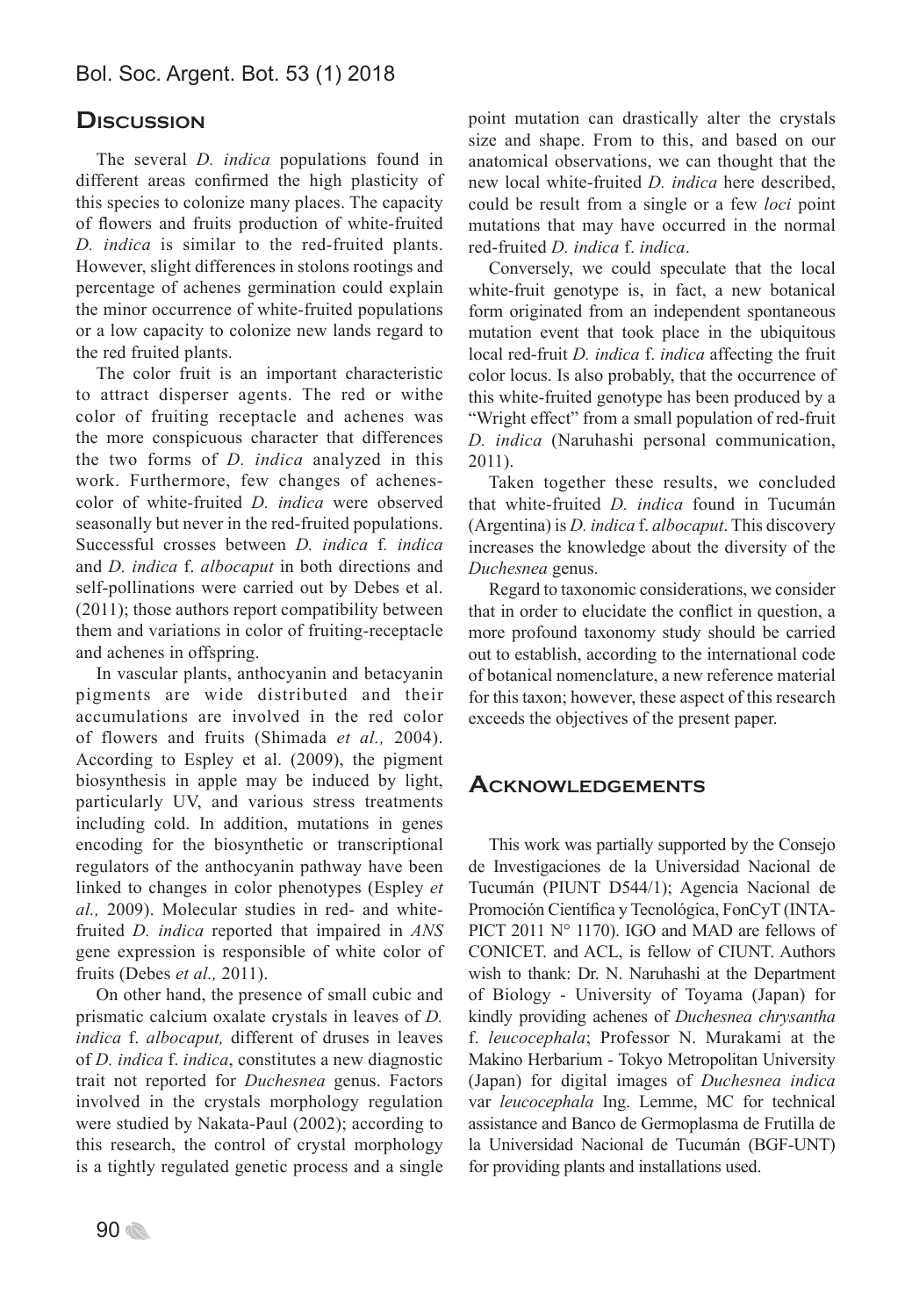# **Discussion**

The several *D. indica* populations found in different areas confirmed the high plasticity of this species to colonize many places. The capacity of flowers and fruits production of white-fruited *D. indica* is similar to the red-fruited plants. However, slight differences in stolons rootings and percentage of achenes germination could explain the minor occurrence of white-fruited populations or a low capacity to colonize new lands regard to the red fruited plants.

The color fruit is an important characteristic to attract disperser agents. The red or withe color of fruiting receptacle and achenes was the more conspicuous character that differences the two forms of *D. indica* analyzed in this work. Furthermore, few changes of achenescolor of white-fruited *D. indica* were observed seasonally but never in the red-fruited populations. Successful crosses between *D. indica* f*. indica* and *D. indica* f. *albocaput* in both directions and self-pollinations were carried out by Debes et al. (2011); those authors report compatibility between them and variations in color of fruiting-receptacle and achenes in offspring.

In vascular plants, anthocyanin and betacyanin pigments are wide distributed and their accumulations are involved in the red color of flowers and fruits (Shimada *et al.,* 2004). According to Espley et al. (2009), the pigment biosynthesis in apple may be induced by light, particularly UV, and various stress treatments including cold. In addition, mutations in genes encoding for the biosynthetic or transcriptional regulators of the anthocyanin pathway have been linked to changes in color phenotypes (Espley *et al.,* 2009). Molecular studies in red- and whitefruited *D. indica* reported that impaired in *ANS* gene expression is responsible of white color of fruits (Debes *et al.,* 2011).

On other hand, the presence of small cubic and prismatic calcium oxalate crystals in leaves of *D. indica* f. *albocaput,* different of druses in leaves of *D. indica* f. *indica*, constitutes a new diagnostic trait not reported for *Duchesnea* genus. Factors involved in the crystals morphology regulation were studied by Nakata-Paul (2002); according to this research, the control of crystal morphology is a tightly regulated genetic process and a single point mutation can drastically alter the crystals size and shape. From to this, and based on our anatomical observations, we can thought that the new local white-fruited *D. indica* here described, could be result from a single or a few *loci* point mutations that may have occurred in the normal red-fruited *D. indica* f. *indica*.

Conversely, we could speculate that the local white-fruit genotype is, in fact, a new botanical form originated from an independent spontaneous mutation event that took place in the ubiquitous local red-fruit *D. indica* f. *indica* affecting the fruit color locus. Is also probably, that the occurrence of this white-fruited genotype has been produced by a "Wright effect" from a small population of red-fruit *D. indica* (Naruhashi personal communication, 2011).

Taken together these results, we concluded that white-fruited *D. indica* found in Tucumán (Argentina) is *D. indica* f. *albocaput*. This discovery increases the knowledge about the diversity of the *Duchesnea* genus.

Regard to taxonomic considerations, we consider that in order to elucidate the conflict in question, a more profound taxonomy study should be carried out to establish, according to the international code of botanical nomenclature, a new reference material for this taxon; however, these aspect of this research exceeds the objectives of the present paper.

# **Acknowledgements**

This work was partially supported by the Consejo de Investigaciones de la Universidad Nacional de Tucumán (PIUNT D544/1); Agencia Nacional de Promoción Científica y Tecnológica, FonCyT (INTA-PICT 2011 N° 1170). IGO and MAD are fellows of CONICET. and ACL, is fellow of CIUNT. Authors wish to thank: Dr. N. Naruhashi at the Department of Biology - University of Toyama (Japan) for kindly providing achenes of *Duchesnea chrysantha* f. *leucocephala*; Professor N. Murakami at the Makino Herbarium - Tokyo Metropolitan University (Japan) for digital images of *Duchesnea indica* var *leucocephala* Ing. Lemme, MC for technical assistance and Banco de Germoplasma de Frutilla de la Universidad Nacional de Tucumán (BGF-UNT) for providing plants and installations used.